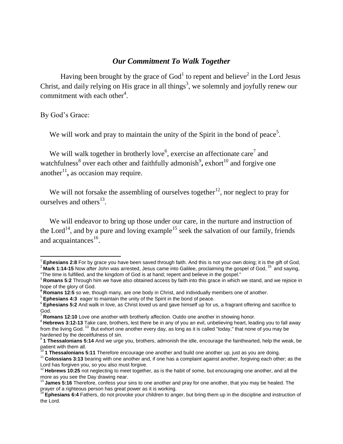## *Our Commitment To Walk Together*

Having been brought by the grace of  $God<sup>1</sup>$  to repent and believe<sup>2</sup> in the Lord Jesus Christ, and daily relying on His grace in all things<sup>3</sup>, we solemnly and joyfully renew our commitment with each other<sup>4</sup>.

By God's Grace:

We will work and pray to maintain the unity of the Spirit in the bond of peace<sup>5</sup>.

We will walk together in brotherly love<sup>6</sup>, exercise an affectionate care<sup>7</sup> and watchfulness<sup>8</sup> over each other and faithfully admonish<sup>9</sup>, exhort<sup>10</sup> and forgive one another $1$ <sup>1</sup>, as occasion may require.

We will not forsake the assembling of ourselves together<sup>12</sup>, nor neglect to pray for ourselves and others $^{13}$ .

 We will endeavor to bring up those under our care, in the nurture and instruction of the Lord<sup>14</sup>, and by a pure and loving example<sup>15</sup> seek the salvation of our family, friends and acquaintances $^{16}$ .

 1 **Ephesians 2:8** For by grace you have been saved through faith. And this is not your own doing; it is the gift of God, <sup>2</sup> Mark 1:14-15 Now after John was arrested, Jesus came into Galilee, proclaiming the gospel of God, <sup>15</sup> and saying,

<sup>&</sup>quot;The time is fulfilled, and the kingdom of God is at hand; repent and believe in the gospel."

<sup>&</sup>lt;sup>3</sup> Romans 5:2 Through him we have also obtained access by faith into this grace in which we stand, and we rejoice in hope of the glory of God.

**<sup>4</sup> Romans 12:5** so we, though many, are one body in Christ, and individually members one of another.

<sup>&</sup>lt;sup>5</sup> Ephesians 4:3 eager to maintain the unity of the Spirit in the bond of peace.

<sup>6</sup> **Ephesians 5:2** And walk in love, as Christ loved us and gave himself up for us, a fragrant offering and sacrifice to God.

<sup>7</sup> **Romans 12:10** Love one another with brotherly affection. Outdo one another in showing honor.

<sup>&</sup>lt;sup>8</sup> Hebrews 3:12-13 Take care, brothers, lest there be in any of you an evil, unbelieving heart, leading you to fall away from the living God.<sup>13</sup> But exhort one another every day, as long as it is called "today," that none of you may be hardened by the deceitfulness of sin.<br><sup>9</sup> **1 Thessalonians 5:14** And we urge you, brothers, admonish the idle, encourage the fainthearted, help the weak, be

patient with them all.

<sup>&</sup>lt;sup>10</sup> 1 Thessalonians 5:11 Therefore encourage one another and build one another up, just as you are doing.

<sup>11</sup> **Colossians 3:13** bearing with one another and, if one has a complaint against another, forgiving each other; as the Lord has forgiven you, so you also must forgive.

<sup>&</sup>lt;sup>12</sup> Hebrews 10:25 not neglecting to meet together, as is the habit of some, but encouraging one another, and all the more as you see the Day drawing near.

<sup>13</sup> **James 5:16** Therefore, confess your sins to one another and pray for one another, that you may be healed. The prayer of a righteous person has great power as it is working.

<sup>&</sup>lt;sup>14</sup> Ephesians 6:4 Fathers, do not provoke your children to anger, but bring them up in the discipline and instruction of the Lord.